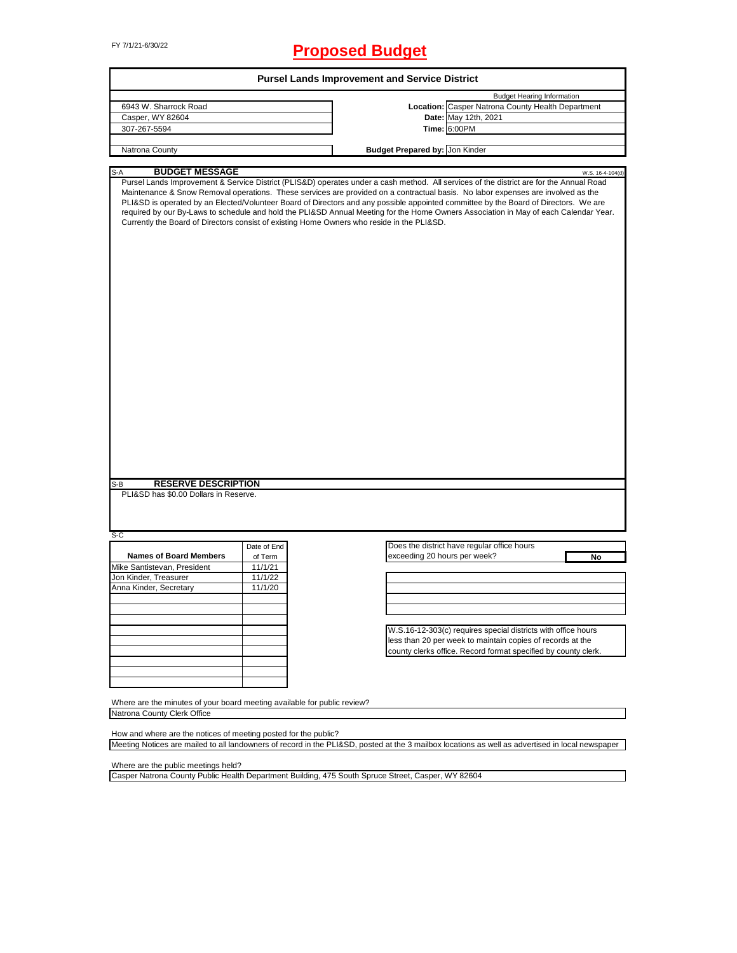# FY 7/1/21-6/30/22 **Proposed Budget**

|                                                                                              |             | <b>Pursel Lands Improvement and Service District</b>                                       |                                                                                                                                                                                                                                                                                                                                                                                                                                                                                                                                                             |
|----------------------------------------------------------------------------------------------|-------------|--------------------------------------------------------------------------------------------|-------------------------------------------------------------------------------------------------------------------------------------------------------------------------------------------------------------------------------------------------------------------------------------------------------------------------------------------------------------------------------------------------------------------------------------------------------------------------------------------------------------------------------------------------------------|
|                                                                                              |             |                                                                                            | <b>Budget Hearing Information</b>                                                                                                                                                                                                                                                                                                                                                                                                                                                                                                                           |
| 6943 W. Sharrock Road                                                                        |             |                                                                                            | Location: Casper Natrona County Health Department                                                                                                                                                                                                                                                                                                                                                                                                                                                                                                           |
| Casper, WY 82604<br>307-267-5594                                                             |             |                                                                                            | Date: May 12th, 2021<br>Time: 6:00PM                                                                                                                                                                                                                                                                                                                                                                                                                                                                                                                        |
|                                                                                              |             |                                                                                            |                                                                                                                                                                                                                                                                                                                                                                                                                                                                                                                                                             |
| Natrona County                                                                               |             | <b>Budget Prepared by: Jon Kinder</b>                                                      |                                                                                                                                                                                                                                                                                                                                                                                                                                                                                                                                                             |
| <b>BUDGET MESSAGE</b><br>S-A                                                                 |             |                                                                                            | W.S. 16-4-104(d)                                                                                                                                                                                                                                                                                                                                                                                                                                                                                                                                            |
|                                                                                              |             | Currently the Board of Directors consist of existing Home Owners who reside in the PLI&SD. | Pursel Lands Improvement & Service District (PLIS&D) operates under a cash method. All services of the district are for the Annual Road<br>Maintenance & Snow Removal operations. These services are provided on a contractual basis. No labor expenses are involved as the<br>PLI&SD is operated by an Elected/Volunteer Board of Directors and any possible appointed committee by the Board of Directors. We are<br>required by our By-Laws to schedule and hold the PLI&SD Annual Meeting for the Home Owners Association in May of each Calendar Year. |
| <b>RESERVE DESCRIPTION</b>                                                                   |             |                                                                                            |                                                                                                                                                                                                                                                                                                                                                                                                                                                                                                                                                             |
|                                                                                              |             |                                                                                            |                                                                                                                                                                                                                                                                                                                                                                                                                                                                                                                                                             |
|                                                                                              | Date of End |                                                                                            | Does the district have regular office hours                                                                                                                                                                                                                                                                                                                                                                                                                                                                                                                 |
| <b>Names of Board Members</b>                                                                | of Term     | exceeding 20 hours per week?                                                               | No                                                                                                                                                                                                                                                                                                                                                                                                                                                                                                                                                          |
|                                                                                              | 11/1/21     |                                                                                            |                                                                                                                                                                                                                                                                                                                                                                                                                                                                                                                                                             |
|                                                                                              | 11/1/22     |                                                                                            |                                                                                                                                                                                                                                                                                                                                                                                                                                                                                                                                                             |
|                                                                                              | 11/1/20     |                                                                                            |                                                                                                                                                                                                                                                                                                                                                                                                                                                                                                                                                             |
|                                                                                              |             |                                                                                            |                                                                                                                                                                                                                                                                                                                                                                                                                                                                                                                                                             |
| PLI&SD has \$0.00 Dollars in Reserve.                                                        |             |                                                                                            |                                                                                                                                                                                                                                                                                                                                                                                                                                                                                                                                                             |
|                                                                                              |             |                                                                                            | W.S.16-12-303(c) requires special districts with office hours                                                                                                                                                                                                                                                                                                                                                                                                                                                                                               |
|                                                                                              |             |                                                                                            | less than 20 per week to maintain copies of records at the                                                                                                                                                                                                                                                                                                                                                                                                                                                                                                  |
|                                                                                              |             |                                                                                            | county clerks office. Record format specified by county clerk.                                                                                                                                                                                                                                                                                                                                                                                                                                                                                              |
|                                                                                              |             |                                                                                            |                                                                                                                                                                                                                                                                                                                                                                                                                                                                                                                                                             |
| S-B<br>S-C<br>Mike Santistevan, President<br>Jon Kinder, Treasurer<br>Anna Kinder, Secretary |             |                                                                                            |                                                                                                                                                                                                                                                                                                                                                                                                                                                                                                                                                             |
|                                                                                              |             |                                                                                            |                                                                                                                                                                                                                                                                                                                                                                                                                                                                                                                                                             |
| Where are the minutes of your board meeting available for public review?                     |             |                                                                                            |                                                                                                                                                                                                                                                                                                                                                                                                                                                                                                                                                             |

Meeting Notices are mailed to all landowners of record in the PLI&SD, posted at the 3 mailbox locations as well as advertised in local newspaper

Where are the public meetings held?

Casper Natrona County Public Health Department Building, 475 South Spruce Street, Casper, WY 82604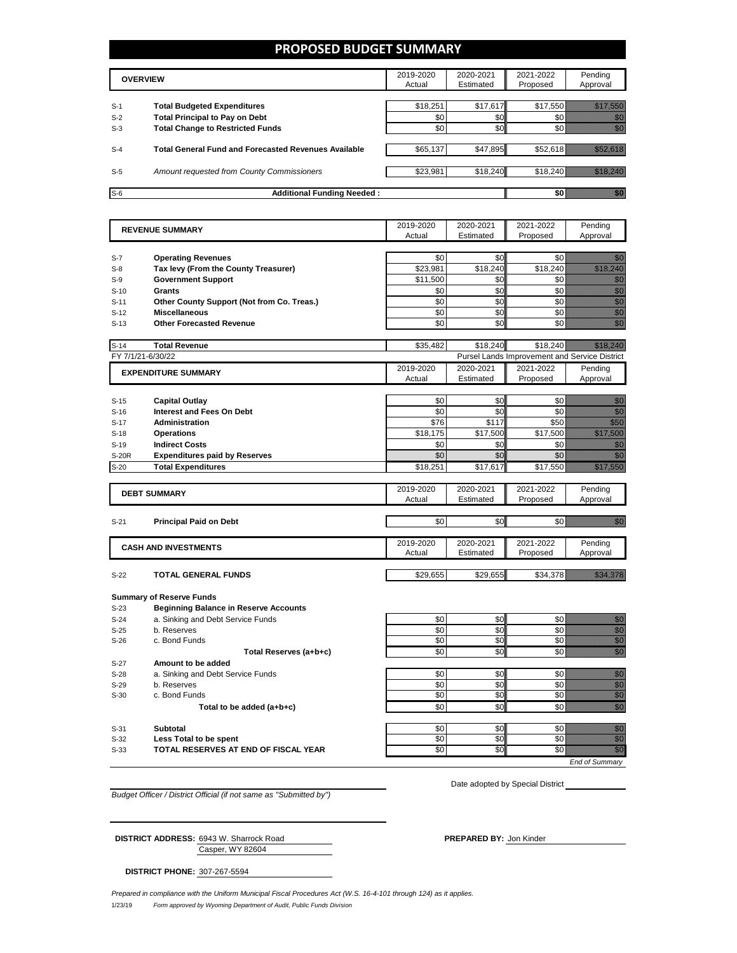### **PROPOSED BUDGET SUMMARY**

|       | <b>OVERVIEW</b>                                             | 2019-2020<br>Actual | 2020-2021<br>Estimated | 2021-2022<br>Proposed | Pending<br>Approval |
|-------|-------------------------------------------------------------|---------------------|------------------------|-----------------------|---------------------|
| $S-1$ | <b>Total Budgeted Expenditures</b>                          | \$18,251            | \$17,617               | \$17,550              |                     |
| $S-2$ | <b>Total Principal to Pay on Debt</b>                       | \$0                 | \$0                    |                       |                     |
| $S-3$ | <b>Total Change to Restricted Funds</b>                     | \$0                 | \$0                    |                       |                     |
|       |                                                             |                     |                        |                       |                     |
| $S-4$ | <b>Total General Fund and Forecasted Revenues Available</b> | \$65,137            | \$47,895               | \$52,618              |                     |
|       |                                                             |                     |                        |                       |                     |
| $S-5$ | Amount requested from County Commissioners                  | \$23,981            | \$18,240               | \$18,240              |                     |
|       |                                                             |                     |                        |                       |                     |
| $S-6$ | <b>Additional Funding Needed:</b>                           |                     |                        |                       |                     |

|                   | <b>REVENUE SUMMARY</b>                                                          | 2019-2020 | 2020-2021 | 2021-2022                                     | Pending                                                                                                                                                                                                                              |
|-------------------|---------------------------------------------------------------------------------|-----------|-----------|-----------------------------------------------|--------------------------------------------------------------------------------------------------------------------------------------------------------------------------------------------------------------------------------------|
|                   |                                                                                 | Actual    | Estimated | Proposed                                      | Approval                                                                                                                                                                                                                             |
|                   |                                                                                 |           |           |                                               |                                                                                                                                                                                                                                      |
| $S-7$             | <b>Operating Revenues</b>                                                       | \$0       | \$0       | \$0                                           | en de la familie de la familie de la familie de la familie de la familie de la familie de la familie de la fam<br>Estat de la familie de la familie de la familie de la familie de la familie de la familie de la familie de la      |
| $S-8$             | Tax levy (From the County Treasurer)                                            | \$23,981  | \$18,240  | \$18,240                                      | e de la provincia de la construcción de la construcción de la construcción de la construcción de la construcci<br>En la construcción de la construcción de la construcción de la construcción de la construcción de la construcc     |
| $S-9$             | <b>Government Support</b>                                                       | \$11,500  | \$0       | \$0                                           | en de la familie de la familie de la familie de la familie de la familie de la familie de la familie de la fa<br>Concelho de la familie de la familie de la familie de la familie de la familie de la familie de la familie de       |
| $S-10$            | Grants                                                                          | \$0       | \$0       | \$0                                           | e de la familie de la familie de la familie de la familie de la familie de la familie de la familie de la fami<br>Establece de la familie de la familie de la familie de la familie de la familie de la familie de la familie d<br>E |
| $S-11$            | Other County Support (Not from Co. Treas.)                                      | \$0       | \$0       | \$0                                           |                                                                                                                                                                                                                                      |
| $S-12$            | <b>Miscellaneous</b>                                                            | \$0       | \$0       | \$0                                           | enni<br>Mille<br>Mille                                                                                                                                                                                                               |
| $S-13$            | <b>Other Forecasted Revenue</b>                                                 | \$0       | \$0       | \$0                                           | en de la familie de la familie de la familie de la familie de la familie de la familie de la familie de la fa<br>Construction de la familie de la familie de la familie de la familie de la familie de la familie de la familie      |
| $S-14$            | <b>Total Revenue</b>                                                            | \$35,482  | \$18,240  | \$18,240                                      |                                                                                                                                                                                                                                      |
| FY 7/1/21-6/30/22 |                                                                                 |           |           | Pursel Lands Improvement and Service District |                                                                                                                                                                                                                                      |
|                   | <b>EXPENDITURE SUMMARY</b>                                                      | 2019-2020 | 2020-2021 | 2021-2022                                     | Pending                                                                                                                                                                                                                              |
|                   |                                                                                 | Actual    | Estimated | Proposed                                      | Approval                                                                                                                                                                                                                             |
|                   |                                                                                 |           |           |                                               |                                                                                                                                                                                                                                      |
| $S-15$            | <b>Capital Outlay</b>                                                           | \$0       | \$0       | \$0                                           | enne<br>Gallia                                                                                                                                                                                                                       |
| $S-16$            | <b>Interest and Fees On Debt</b>                                                | \$0       | \$0       | \$0                                           | en de la familie de la familie de la familie de la familie de la familie de la familie de la familie de la fam<br>Constitution de la familie de la familie de la familie de la familie de la familie de la familie de la familie     |
| $S-17$            | <b>Administration</b>                                                           | \$76      | \$117     | \$50                                          | en de la familie de la familie de la familie de la familie de la familie de la familie de la familie de la fa<br>Espainia                                                                                                            |
| $S-18$            | <b>Operations</b>                                                               | \$18,175  | \$17,500  | \$17,500                                      | a a a an an t-Òirean                                                                                                                                                                                                                 |
| $S-19$            | <b>Indirect Costs</b>                                                           | \$0       | \$0       | \$0                                           | en de filosofon de filosofon de filosofon de filosofon de filosofon de filosofon de filosofon de filosofon de<br>Altre de filosofon de filosofon de filosofon de filosofon de filosofon de filosofon de filosofon de filosofon       |
| S-20R             | <b>Expenditures paid by Reserves</b>                                            | \$0       | \$0       | \$0                                           | en de la familie de la familie de la familie de la familie de la familie de la familie de la familie de la fa<br>Constitution de la familie de la familie de la familie de la familie de la familie de la familie de la familie      |
| $S-20$            | <b>Total Expenditures</b>                                                       | \$18,251  | \$17,617  | \$17,550                                      | <u> Maria Barat da Barat da Barat da Barat da Barat da Barat da Barat da Barat da Barat da Barat da Barat da Bar</u>                                                                                                                 |
|                   |                                                                                 | 2019-2020 | 2020-2021 | 2021-2022                                     | Pending                                                                                                                                                                                                                              |
|                   | <b>DEBT SUMMARY</b>                                                             | Actual    | Estimated | Proposed                                      | Approval                                                                                                                                                                                                                             |
|                   |                                                                                 |           |           |                                               |                                                                                                                                                                                                                                      |
| $S-21$            | <b>Principal Paid on Debt</b>                                                   | \$0       | \$0       | \$0                                           | en de la familie de la familie de la familie de la familie de la familie de la familie de la familie de la fam<br>Construction de la familie de la familie de la familie de la familie de la familie de la familie de la familie     |
|                   |                                                                                 | 2019-2020 | 2020-2021 | 2021-2022                                     | Pending                                                                                                                                                                                                                              |
|                   | <b>CASH AND INVESTMENTS</b>                                                     | Actual    | Estimated | Proposed                                      | Approval                                                                                                                                                                                                                             |
|                   |                                                                                 |           |           |                                               |                                                                                                                                                                                                                                      |
| $S-22$            | <b>TOTAL GENERAL FUNDS</b>                                                      | \$29,655  | \$29,655  | \$34,378                                      | <u>istoriano e</u>                                                                                                                                                                                                                   |
|                   |                                                                                 |           |           |                                               |                                                                                                                                                                                                                                      |
| $S-23$            | <b>Summary of Reserve Funds</b><br><b>Beginning Balance in Reserve Accounts</b> |           |           |                                               |                                                                                                                                                                                                                                      |
| $S-24$            | a. Sinking and Debt Service Funds                                               | \$0       | \$0       | \$0                                           | en de la familie de la familie de la familie de la familie de la familie de la familie de la familie de la fam<br>Espainia                                                                                                           |
| $S-25$            | b. Reserves                                                                     | \$0       | \$0       | \$0                                           |                                                                                                                                                                                                                                      |
| $S-26$            | c. Bond Funds                                                                   | \$0       | \$0       | \$0                                           | e de la composición de la composición de la composición de la composición de la composición de la composición<br>Campo de la composición de la composición de la composición de la composición de la composición de la composic      |
|                   | Total Reserves (a+b+c)                                                          | \$0       | \$0       | \$0                                           | en de la filosofia<br>India                                                                                                                                                                                                          |
| $S-27$            | Amount to be added                                                              |           |           |                                               |                                                                                                                                                                                                                                      |
| $S-28$            | a. Sinking and Debt Service Funds                                               | \$0       | \$0       | \$0                                           | ennen<br>Välitade                                                                                                                                                                                                                    |
| $S-29$            | b. Reserves                                                                     | \$0       | \$0       | \$0                                           |                                                                                                                                                                                                                                      |
| $S-30$            | c. Bond Funds                                                                   | \$0       | \$0       | \$0                                           | e de la composición de la composición de la composición de la composición de la composición de la composición<br>Composición de la composición de la composición de la composición de la composición de la composición de la co      |
|                   | Total to be added (a+b+c)                                                       | \$0       | \$0       | \$0                                           | en<br>Mariti                                                                                                                                                                                                                         |
|                   |                                                                                 |           |           |                                               |                                                                                                                                                                                                                                      |
| $S-31$            | <b>Subtotal</b>                                                                 | \$0       | \$0       | \$0                                           | en de la familie de la familie de la familie de la familie de la familie de la familie de la familie de la fam<br>Constitution de la familie de la familie de la familie de la familie de la familie de la familie de la familie     |
| $S-32$            | Less Total to be spent                                                          | \$0       | \$0       | \$0                                           | en de la familie de la familie de la familie de la familie de la familie de la familie de la familie de la fam<br>Estat de la familie de la familie de la familie de la familie de la familie de la familie de la familie de la      |
| $S-33$            | TOTAL RESERVES AT END OF FISCAL YEAR                                            | \$0       | \$0       | \$0                                           | en de la familie de la familie de la familie de la familie de la familie de la familie de la familie de la fa<br>Constitution de la familie de la familie de la familie de la familie de la familie de la familie de la familie      |
|                   |                                                                                 |           |           |                                               | <b>End of Summary</b>                                                                                                                                                                                                                |

*Budget Officer / District Official (if not same as "Submitted by")*

Date adopted by Special District

Casper, WY 82604 **DISTRICT ADDRESS:** 6943 W. Sharrock Road **PREPARED BY:** Jon Kinder

**DISTRICT PHONE:** 307-267-5594

1/23/19 *Form approved by Wyoming Department of Audit, Public Funds Division Prepared in compliance with the Uniform Municipal Fiscal Procedures Act (W.S. 16-4-101 through 124) as it applies.*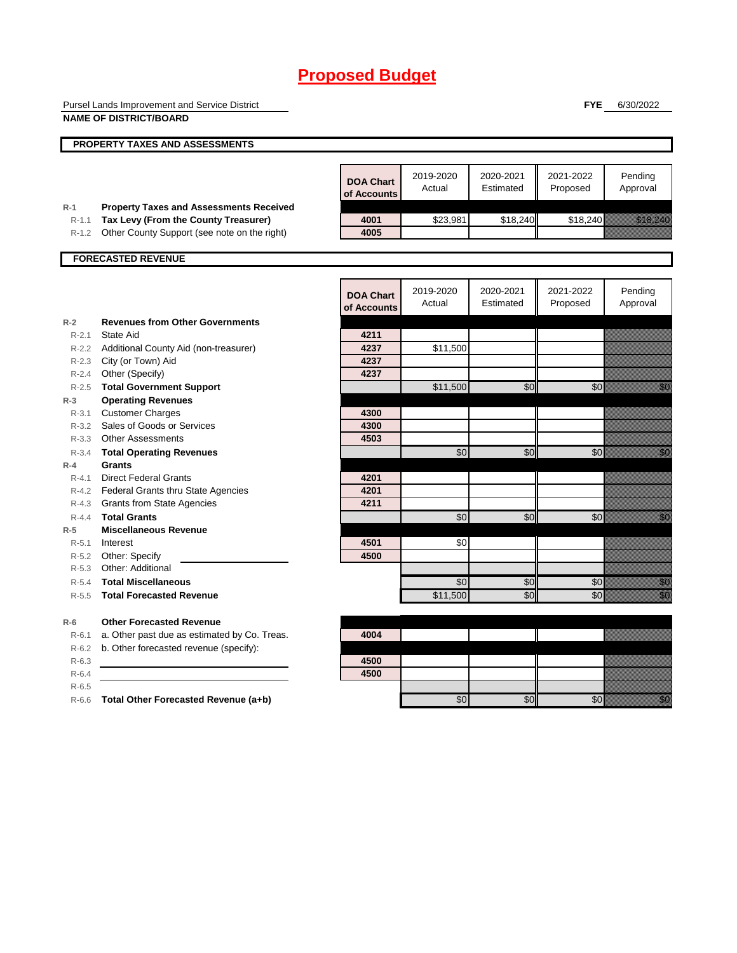Pursel Lands Improvement and Service District **NAME OF DISTRICT/BOARD**

**FYE** 6/30/2022

|           | PROPERTY TAXES AND ASSESSMENTS                 |                                 |                     |                        |                       |                                                                                                                                                                                                                                  |
|-----------|------------------------------------------------|---------------------------------|---------------------|------------------------|-----------------------|----------------------------------------------------------------------------------------------------------------------------------------------------------------------------------------------------------------------------------|
|           |                                                |                                 |                     |                        |                       |                                                                                                                                                                                                                                  |
|           |                                                | <b>DOA Chart</b><br>of Accounts | 2019-2020<br>Actual | 2020-2021<br>Estimated | 2021-2022<br>Proposed | Pending<br>Approval                                                                                                                                                                                                              |
| $R-1$     | <b>Property Taxes and Assessments Received</b> |                                 |                     |                        |                       |                                                                                                                                                                                                                                  |
| $R - 1.1$ | Tax Levy (From the County Treasurer)           | 4001<br>4005                    | \$23,981            | \$18,240               | \$18,240              | <u>erikali kontrollerin kontrollerin kontrollerin kontrollerin kontrollerin kontrollerin kontrollerin kontroller</u>                                                                                                             |
| R-1.2     | Other County Support (see note on the right)   |                                 |                     |                        |                       |                                                                                                                                                                                                                                  |
|           | <b>FORECASTED REVENUE</b>                      |                                 |                     |                        |                       |                                                                                                                                                                                                                                  |
|           |                                                | <b>DOA Chart</b><br>of Accounts | 2019-2020<br>Actual | 2020-2021<br>Estimated | 2021-2022<br>Proposed | Pending<br>Approval                                                                                                                                                                                                              |
| $R-2$     | <b>Revenues from Other Governments</b>         |                                 |                     |                        |                       |                                                                                                                                                                                                                                  |
| $R - 2.1$ | State Aid                                      | 4211                            |                     |                        |                       |                                                                                                                                                                                                                                  |
|           | R-2.2 Additional County Aid (non-treasurer)    | 4237                            | \$11,500            |                        |                       |                                                                                                                                                                                                                                  |
|           | R-2.3 City (or Town) Aid                       | 4237                            |                     |                        |                       |                                                                                                                                                                                                                                  |
| R-2.4     | Other (Specify)                                | 4237                            |                     |                        |                       |                                                                                                                                                                                                                                  |
| $R - 2.5$ | <b>Total Government Support</b>                |                                 | \$11,500            | \$0                    | \$0                   | , a chuid                                                                                                                                                                                                                        |
| $R-3$     | <b>Operating Revenues</b>                      |                                 |                     |                        |                       |                                                                                                                                                                                                                                  |
| $R - 3.1$ | <b>Customer Charges</b>                        | 4300                            |                     |                        |                       |                                                                                                                                                                                                                                  |
| $R - 3.2$ | Sales of Goods or Services                     | 4300                            |                     |                        |                       |                                                                                                                                                                                                                                  |
|           | R-3.3 Other Assessments                        | 4503                            |                     |                        |                       |                                                                                                                                                                                                                                  |
| $R - 3.4$ | <b>Total Operating Revenues</b>                |                                 | $\sqrt{6}$          | \$0                    | \$0                   | en de la familie de la familie de la familie de la familie de la familie de la familie de la familie de la fam<br>De la familie de la familie de la familie de la familie de la familie de la familie de la familie de la famili |
| $R-4$     | <b>Grants</b>                                  |                                 |                     |                        |                       |                                                                                                                                                                                                                                  |
| $R - 4.1$ | <b>Direct Federal Grants</b>                   | 4201                            |                     |                        |                       |                                                                                                                                                                                                                                  |
|           | R-4.2 Federal Grants thru State Agencies       | 4201                            |                     |                        |                       |                                                                                                                                                                                                                                  |
|           | R-4.3 Grants from State Agencies               | 4211                            |                     |                        |                       |                                                                                                                                                                                                                                  |
| $R - 4.4$ | <b>Total Grants</b>                            |                                 | \$0                 | \$0                    | \$0                   |                                                                                                                                                                                                                                  |
| $R-5$     | <b>Miscellaneous Revenue</b>                   |                                 |                     |                        |                       |                                                                                                                                                                                                                                  |
| $R - 5.1$ | Interest                                       | 4501                            | \$0                 |                        |                       |                                                                                                                                                                                                                                  |
|           | R-5.2 Other: Specify                           | 4500                            |                     |                        |                       |                                                                                                                                                                                                                                  |
| $R-5.3$   | Other: Additional                              |                                 |                     |                        |                       |                                                                                                                                                                                                                                  |
| $R - 5.4$ | <b>Total Miscellaneous</b>                     |                                 | \$0                 | \$0                    | \$0                   | en de la familie de la familie de la familie de la familie de la familie de la familie de la familie de la fam<br>De la familie de la familie de la familie de la familie de la familie de la familie de la familie de la famili |
| $R - 5.5$ | <b>Total Forecasted Revenue</b>                |                                 | \$11,500            | \$0                    | \$0                   | en de la familie de la familie de la familie de la familie de la familie de la familie de la familie de la fa<br>Constituit de la familie de la familie de la familie de la familie de la familie de la familie de la familie d  |
| $R-6$     | <b>Other Forecasted Revenue</b>                |                                 |                     |                        |                       |                                                                                                                                                                                                                                  |
| $R-6.1$   | a. Other past due as estimated by Co. Treas.   | 4004                            |                     |                        |                       |                                                                                                                                                                                                                                  |
| $R-6.2$   | b. Other forecasted revenue (specify):         |                                 |                     |                        |                       |                                                                                                                                                                                                                                  |
| $R - 6.3$ |                                                | 4500                            |                     |                        |                       |                                                                                                                                                                                                                                  |
| $R-6.4$   |                                                | 4500                            |                     |                        |                       |                                                                                                                                                                                                                                  |
| $R-6.5$   |                                                |                                 |                     |                        |                       |                                                                                                                                                                                                                                  |
| $R-6.6$   | Total Other Forecasted Revenue (a+b)           |                                 | \$0                 | \$0                    | \$0                   | <u> Kili</u>                                                                                                                                                                                                                     |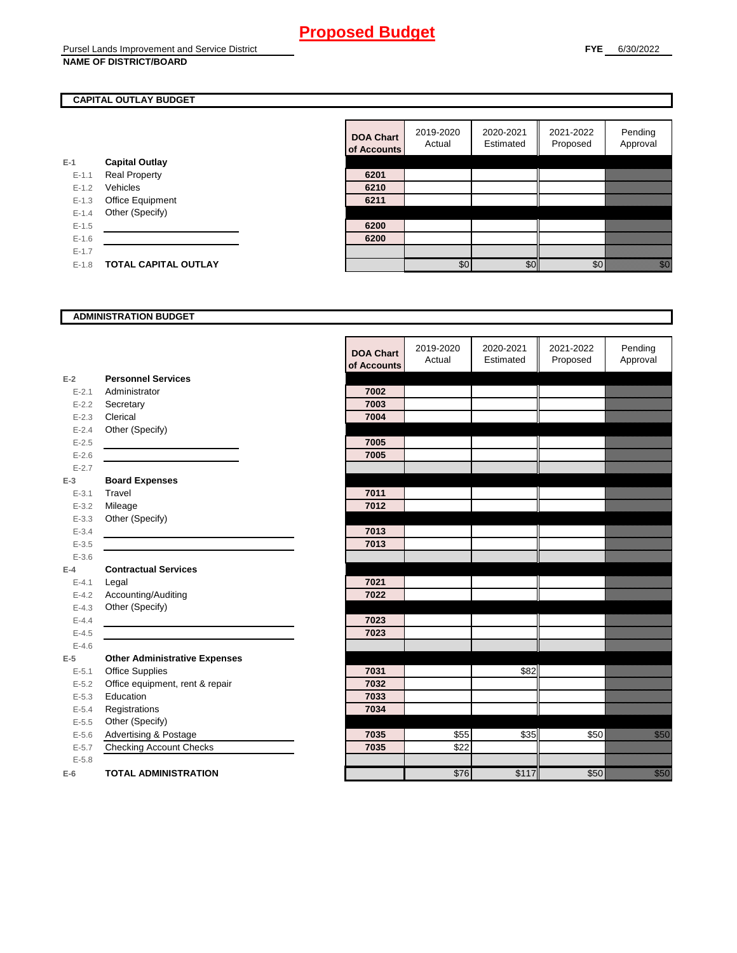### **CAPITAL OUTLAY BUDGET**

|           |                             | <u>ui nuuu</u> |
|-----------|-----------------------------|----------------|
| E-1       | <b>Capital Outlay</b>       |                |
| $E - 1.1$ | <b>Real Property</b>        | 6201           |
| $E - 1.2$ | Vehicles                    | 6210           |
| $E-1.3$   | Office Equipment            | 6211           |
| $E - 1.4$ | Other (Specify)             |                |
| $E - 1.5$ |                             | 6200           |
| $E-1.6$   |                             | 6200           |
| $E-1.7$   |                             |                |
| $E - 1.8$ | <b>TOTAL CAPITAL OUTLAY</b> |                |
|           |                             |                |

| <b>DOA Chart</b><br>of Accounts | 2019-2020<br>Actual | 2020-2021<br>Estimated | 2021-2022<br>Proposed | Pending<br>Approval |
|---------------------------------|---------------------|------------------------|-----------------------|---------------------|
|                                 |                     |                        |                       |                     |
| 6201                            |                     |                        |                       |                     |
| 6210                            |                     |                        |                       |                     |
| 6211                            |                     |                        |                       |                     |
|                                 |                     |                        |                       |                     |
| 6200                            |                     |                        |                       |                     |
| 6200                            |                     |                        |                       |                     |
|                                 |                     |                        |                       |                     |
|                                 | ደበ                  | ፍሰ                     |                       |                     |

#### **ADMINISTRATION BUDGET**

|           |                                      | <b>DOA Chart</b><br>of Accounts | 2019-2020<br>Actual | 2020-2021<br>Estimated | 2021-2022<br>Proposed | Pending<br>Approval                                                                                                                                                                                                            |
|-----------|--------------------------------------|---------------------------------|---------------------|------------------------|-----------------------|--------------------------------------------------------------------------------------------------------------------------------------------------------------------------------------------------------------------------------|
| $E-2$     | <b>Personnel Services</b>            |                                 |                     |                        |                       |                                                                                                                                                                                                                                |
| $E - 2.1$ | Administrator                        | 7002                            |                     |                        |                       |                                                                                                                                                                                                                                |
| $E - 2.2$ | Secretary                            | 7003                            |                     |                        |                       |                                                                                                                                                                                                                                |
| $E - 2.3$ | Clerical                             | 7004                            |                     |                        |                       |                                                                                                                                                                                                                                |
| $E - 2.4$ | Other (Specify)                      |                                 |                     |                        |                       |                                                                                                                                                                                                                                |
| $E - 2.5$ |                                      | 7005                            |                     |                        |                       |                                                                                                                                                                                                                                |
| $E - 2.6$ |                                      | 7005                            |                     |                        |                       |                                                                                                                                                                                                                                |
| $E - 2.7$ |                                      |                                 |                     |                        |                       |                                                                                                                                                                                                                                |
| $E-3$     | <b>Board Expenses</b>                |                                 |                     |                        |                       |                                                                                                                                                                                                                                |
| $E - 3.1$ | Travel                               | 7011                            |                     |                        |                       |                                                                                                                                                                                                                                |
| $E - 3.2$ | Mileage                              | 7012                            |                     |                        |                       |                                                                                                                                                                                                                                |
| $E - 3.3$ | Other (Specify)                      |                                 |                     |                        |                       |                                                                                                                                                                                                                                |
| $E - 3.4$ |                                      | 7013                            |                     |                        |                       |                                                                                                                                                                                                                                |
| $E - 3.5$ |                                      | 7013                            |                     |                        |                       |                                                                                                                                                                                                                                |
| $E - 3.6$ |                                      |                                 |                     |                        |                       |                                                                                                                                                                                                                                |
| $E-4$     | <b>Contractual Services</b>          |                                 |                     |                        |                       |                                                                                                                                                                                                                                |
| $E - 4.1$ | Legal                                | 7021                            |                     |                        |                       |                                                                                                                                                                                                                                |
| $E-4.2$   | Accounting/Auditing                  | 7022                            |                     |                        |                       |                                                                                                                                                                                                                                |
| $E - 4.3$ | Other (Specify)                      |                                 |                     |                        |                       |                                                                                                                                                                                                                                |
| $E - 4.4$ |                                      | 7023                            |                     |                        |                       |                                                                                                                                                                                                                                |
| $E-4.5$   |                                      | 7023                            |                     |                        |                       |                                                                                                                                                                                                                                |
| $E-4.6$   |                                      |                                 |                     |                        |                       |                                                                                                                                                                                                                                |
| $E-5$     | <b>Other Administrative Expenses</b> |                                 |                     |                        |                       |                                                                                                                                                                                                                                |
| $E - 5.1$ | Office Supplies                      | 7031                            |                     | \$82                   |                       |                                                                                                                                                                                                                                |
| $E - 5.2$ | Office equipment, rent & repair      | 7032                            |                     |                        |                       |                                                                                                                                                                                                                                |
| $E - 5.3$ | Education                            | 7033                            |                     |                        |                       |                                                                                                                                                                                                                                |
| $E - 5.4$ | Registrations                        | 7034                            |                     |                        |                       |                                                                                                                                                                                                                                |
| $E - 5.5$ | Other (Specify)                      |                                 |                     |                        |                       |                                                                                                                                                                                                                                |
| $E-5.6$   | Advertising & Postage                | 7035                            | \$55                | \$35                   | \$50                  | <u>i k</u>                                                                                                                                                                                                                     |
| $E - 5.7$ | <b>Checking Account Checks</b>       | 7035                            | \$22                |                        |                       |                                                                                                                                                                                                                                |
| $E - 5.8$ |                                      |                                 |                     |                        |                       |                                                                                                                                                                                                                                |
| $E-6$     | <b>TOTAL ADMINISTRATION</b>          |                                 | \$76                | \$117                  | \$50                  | a katika katika katika katika katika katika alifuwan alifuwa alifuwa alifuwa alifuwa alifuwa alifuwa alifuwa<br>Katika katika katika katika katika katika katika katika katika katika katika katika katika katika katika katik |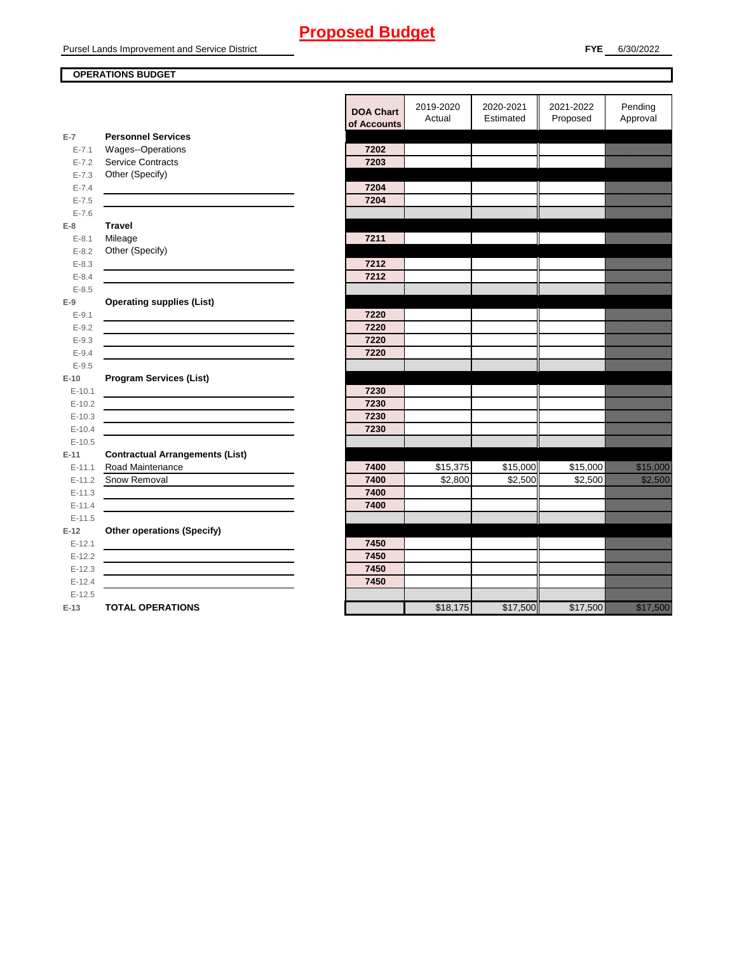Pursel Lands Improvement and Service District

## **OPERATIONS BUDGET**

|            |                                                                                                                      | <b>DOA Chart</b><br>of Accounts | 2019-2020<br>Actual | 2020-2021<br>Estimated | 2021-2022<br>Proposed | Pending<br>Approval  |
|------------|----------------------------------------------------------------------------------------------------------------------|---------------------------------|---------------------|------------------------|-----------------------|----------------------|
| $E-7$      | <b>Personnel Services</b>                                                                                            |                                 |                     |                        |                       |                      |
| $E - 7.1$  | Wages--Operations                                                                                                    | 7202                            |                     |                        |                       |                      |
| $E - 7.2$  | <b>Service Contracts</b>                                                                                             | 7203                            |                     |                        |                       |                      |
| $E - 7.3$  | Other (Specify)                                                                                                      |                                 |                     |                        |                       |                      |
| $E - 7.4$  |                                                                                                                      | 7204                            |                     |                        |                       |                      |
| $E - 7.5$  |                                                                                                                      | 7204                            |                     |                        |                       |                      |
| $E - 7.6$  |                                                                                                                      |                                 |                     |                        |                       |                      |
| $E-8$      | <b>Travel</b>                                                                                                        |                                 |                     |                        |                       |                      |
| $E-8.1$    | Mileage                                                                                                              | 7211                            |                     |                        |                       |                      |
| $E - 8.2$  | Other (Specify)                                                                                                      |                                 |                     |                        |                       |                      |
| $E - 8.3$  |                                                                                                                      | 7212                            |                     |                        |                       |                      |
| $E - 8.4$  |                                                                                                                      | 7212                            |                     |                        |                       |                      |
| $E - 8.5$  |                                                                                                                      |                                 |                     |                        |                       |                      |
| $E-9$      | <b>Operating supplies (List)</b>                                                                                     |                                 |                     |                        |                       |                      |
| $E-9.1$    |                                                                                                                      | 7220                            |                     |                        |                       |                      |
| $E - 9.2$  |                                                                                                                      | 7220                            |                     |                        |                       |                      |
| $E - 9.3$  |                                                                                                                      | 7220                            |                     |                        |                       |                      |
| $E - 9.4$  |                                                                                                                      | 7220                            |                     |                        |                       |                      |
| $E - 9.5$  |                                                                                                                      |                                 |                     |                        |                       |                      |
| $E-10$     | <b>Program Services (List)</b>                                                                                       |                                 |                     |                        |                       |                      |
| $E - 10.1$ |                                                                                                                      | 7230                            |                     |                        |                       |                      |
| $E-10.2$   |                                                                                                                      | 7230                            |                     |                        |                       |                      |
| $E-10.3$   |                                                                                                                      | 7230                            |                     |                        |                       |                      |
| $E-10.4$   |                                                                                                                      | 7230                            |                     |                        |                       |                      |
| $E-10.5$   |                                                                                                                      |                                 |                     |                        |                       |                      |
| $E-11$     | <b>Contractual Arrangements (List)</b>                                                                               |                                 |                     |                        |                       |                      |
| $E - 11.1$ | Road Maintenance                                                                                                     | 7400                            | \$15,375            | \$15,000               | \$15,000              | <u>tionalisest</u>   |
| $E-11.2$   | Snow Removal                                                                                                         | 7400                            | \$2,800             | \$2,500                | \$2,500               | <u>tionalised</u>    |
| $E - 11.3$ | <u> 1989 - Johann Harry Barn, mars ar breist ar yn y breist y breist y breist ar y breist ar y breist ar y breis</u> | 7400                            |                     |                        |                       |                      |
| $E - 11.4$ |                                                                                                                      | 7400                            |                     |                        |                       |                      |
| $E-11.5$   |                                                                                                                      |                                 |                     |                        |                       |                      |
| $E-12$     | <b>Other operations (Specify)</b>                                                                                    |                                 |                     |                        |                       |                      |
| $E-12.1$   |                                                                                                                      | 7450                            |                     |                        |                       |                      |
| $E-12.2$   |                                                                                                                      | 7450                            |                     |                        |                       |                      |
| $E-12.3$   |                                                                                                                      | 7450                            |                     |                        |                       |                      |
| $E-12.4$   |                                                                                                                      | 7450                            |                     |                        |                       |                      |
| $E-12.5$   |                                                                                                                      |                                 |                     |                        |                       |                      |
| $E-13$     | <b>TOTAL OPERATIONS</b>                                                                                              |                                 | \$18,175            | \$17,500               | \$17,500              | <u> Karlingan Sa</u> |
|            |                                                                                                                      |                                 |                     |                        |                       |                      |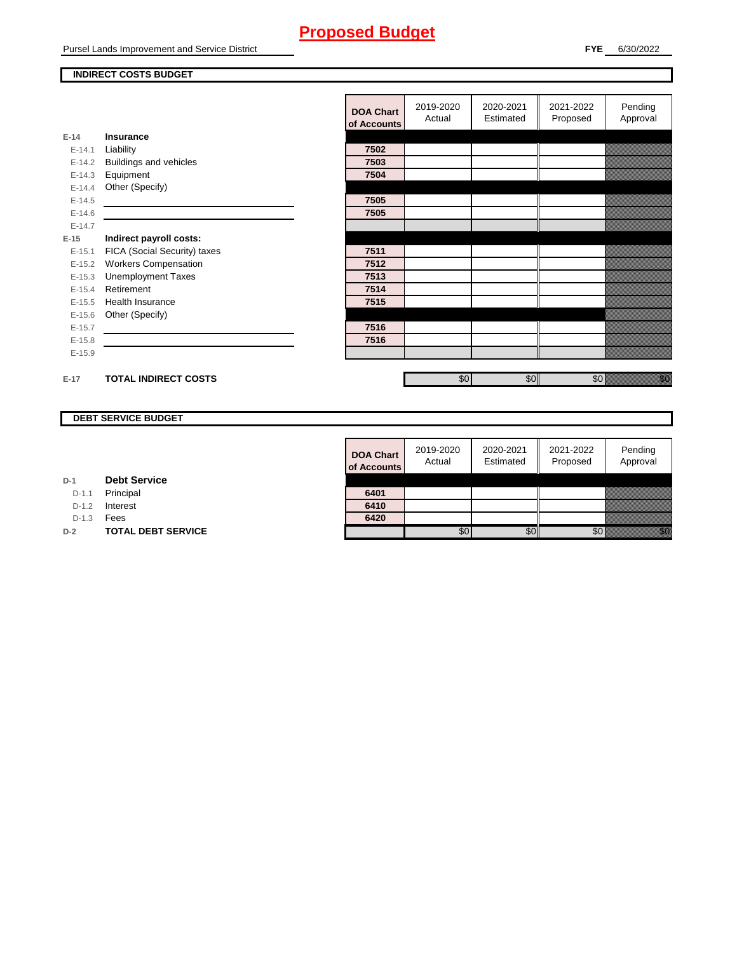Pursel Lands Improvement and Service District

#### **INDIRECT COSTS BUDGET**

|          |                              | <b>DOA Chart</b><br>of Accounts | 2019-2020<br>Actual | 2020-2021<br>Estimated | 2021-2022<br>Proposed | Pending<br>Approval                                                                                                                                                                                                             |
|----------|------------------------------|---------------------------------|---------------------|------------------------|-----------------------|---------------------------------------------------------------------------------------------------------------------------------------------------------------------------------------------------------------------------------|
| $E-14$   | Insurance                    |                                 |                     |                        |                       |                                                                                                                                                                                                                                 |
| $E-14.1$ | Liability                    | 7502                            |                     |                        |                       |                                                                                                                                                                                                                                 |
| $E-14.2$ | Buildings and vehicles       | 7503                            |                     |                        |                       |                                                                                                                                                                                                                                 |
| $E-14.3$ | Equipment                    | 7504                            |                     |                        |                       |                                                                                                                                                                                                                                 |
| $E-14.4$ | Other (Specify)              |                                 |                     |                        |                       |                                                                                                                                                                                                                                 |
| $E-14.5$ |                              | 7505                            |                     |                        |                       |                                                                                                                                                                                                                                 |
| $E-14.6$ |                              | 7505                            |                     |                        |                       |                                                                                                                                                                                                                                 |
| $E-14.7$ |                              |                                 |                     |                        |                       |                                                                                                                                                                                                                                 |
| $E-15$   | Indirect payroll costs:      |                                 |                     |                        |                       |                                                                                                                                                                                                                                 |
| $E-15.1$ | FICA (Social Security) taxes | 7511                            |                     |                        |                       |                                                                                                                                                                                                                                 |
| $E-15.2$ | <b>Workers Compensation</b>  | 7512                            |                     |                        |                       |                                                                                                                                                                                                                                 |
| $E-15.3$ | <b>Unemployment Taxes</b>    | 7513                            |                     |                        |                       |                                                                                                                                                                                                                                 |
| $E-15.4$ | Retirement                   | 7514                            |                     |                        |                       |                                                                                                                                                                                                                                 |
| $E-15.5$ | Health Insurance             | 7515                            |                     |                        |                       |                                                                                                                                                                                                                                 |
| $E-15.6$ | Other (Specify)              |                                 |                     |                        |                       |                                                                                                                                                                                                                                 |
| $E-15.7$ |                              | 7516                            |                     |                        |                       |                                                                                                                                                                                                                                 |
| $E-15.8$ |                              | 7516                            |                     |                        |                       |                                                                                                                                                                                                                                 |
| $E-15.9$ |                              |                                 |                     |                        |                       |                                                                                                                                                                                                                                 |
|          |                              |                                 |                     |                        |                       |                                                                                                                                                                                                                                 |
| $E-17$   | <b>TOTAL INDIRECT COSTS</b>  |                                 | \$0                 | \$0                    | \$0                   | en de la falsa de la falsa de la falsa de la falsa de la falsa de la falsa de la falsa de la falsa de la falsa<br>Constituit de la falsa de la falsa de la falsa de la falsa de la falsa de la falsa de la falsa de la falsa de |

## **DEBT SERVICE BUDGET**

| <b>DOA Chart</b><br>of Accounts | 2019-2020<br>Actual | 2020-2021<br>Estimated | 2021-2022<br>Proposed | Pending<br>Approval |
|---------------------------------|---------------------|------------------------|-----------------------|---------------------|
|                                 |                     |                        |                       |                     |
| 6401                            |                     |                        |                       |                     |
| 6410                            |                     |                        |                       |                     |
| 6420                            |                     |                        |                       |                     |
|                                 |                     |                        |                       |                     |

| D-1 |  | <b>Debt Service</b> |
|-----|--|---------------------|
|-----|--|---------------------|

D-1.1 Principal

D-1.2 **Interest** 

D-1.3 **Fees** 

**D-2 TOTAL DEBT SERVICE**